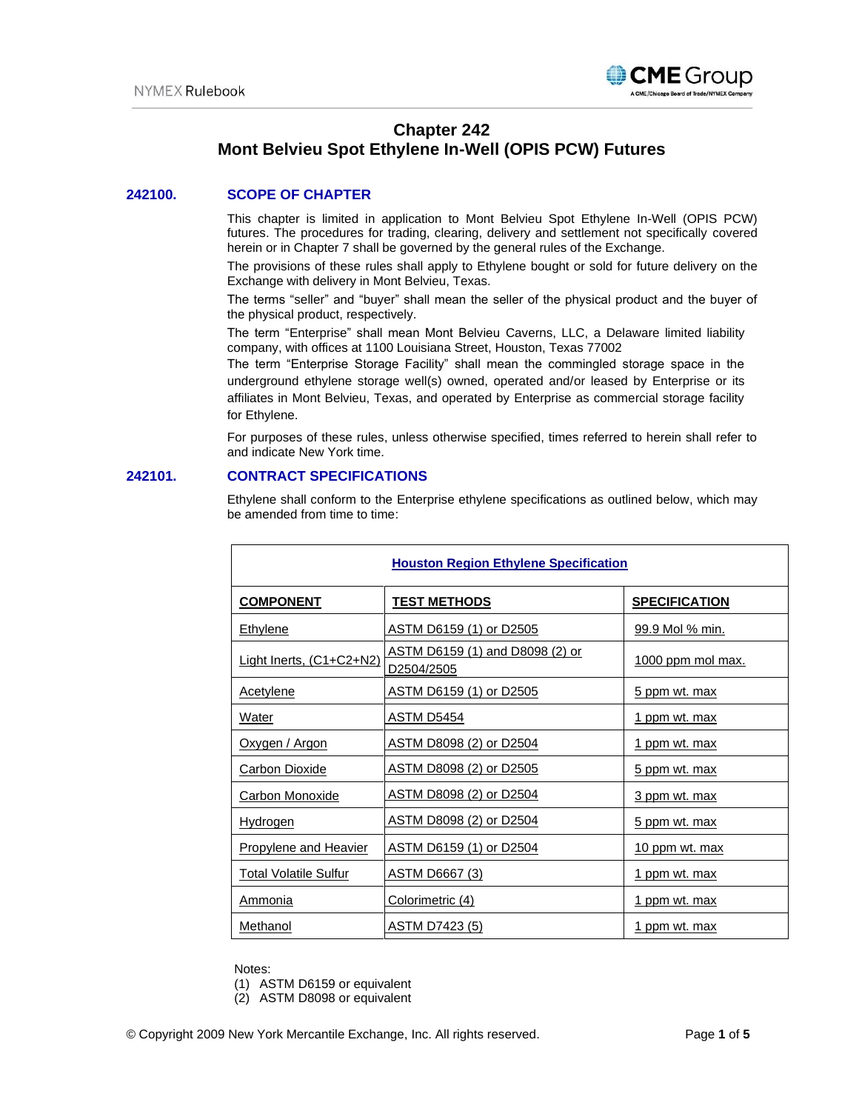

# **Chapter 242 Mont Belvieu Spot Ethylene In-Well (OPIS PCW) Futures**

# **242100. SCOPE OF CHAPTER**

This chapter is limited in application to Mont Belvieu Spot Ethylene In-Well (OPIS PCW) futures. The procedures for trading, clearing, delivery and settlement not specifically covered herein or in Chapter 7 shall be governed by the general rules of the Exchange.

The provisions of these rules shall apply to Ethylene bought or sold for future delivery on the Exchange with delivery in Mont Belvieu, Texas.

The terms "seller" and "buyer" shall mean the seller of the physical product and the buyer of the physical product, respectively.

The term "Enterprise" shall mean Mont Belvieu Caverns, LLC, a Delaware limited liability company, with offices at 1100 Louisiana Street, Houston, Texas 77002

The term "Enterprise Storage Facility" shall mean the commingled storage space in the underground ethylene storage well(s) owned, operated and/or leased by Enterprise or its affiliates in Mont Belvieu, Texas, and operated by Enterprise as commercial storage facility for Ethylene.

For purposes of these rules, unless otherwise specified, times referred to herein shall refer to and indicate New York time.

# **242101. CONTRACT SPECIFICATIONS**

Г

Ethylene shall conform to the Enterprise ethylene specifications as outlined below, which may be amended from time to time:

| <b>Houston Region Ethylene Specification</b> |                                               |                          |
|----------------------------------------------|-----------------------------------------------|--------------------------|
| <b>COMPONENT</b>                             | <u>TEST METHODS</u>                           | <b>SPECIFICATION</b>     |
| Ethylene                                     | ASTM D6159 (1) or D2505                       | 99.9 Mol % min.          |
| Light Inerts, (C1+C2+N2)                     | ASTM D6159 (1) and D8098 (2) or<br>D2504/2505 | <u>1000 ppm mol max.</u> |
| <b>Acetylene</b>                             | ASTM D6159 (1) or D2505                       | 5 ppm wt. max            |
| Water                                        | ASTM D5454                                    | <u>1 ppm wt. max</u>     |
| Oxygen / Argon                               | ASTM D8098 (2) or D2504                       | <u>1 ppm wt. max</u>     |
| <b>Carbon Dioxide</b>                        | ASTM D8098 (2) or D2505                       | 5 ppm wt. max            |
| Carbon Monoxide                              | <u>ASTM D8098 (2) or D2504</u>                | 3 ppm wt. max            |
| <u>Hydrogen</u>                              | ASTM D8098 (2) or D2504                       | 5 ppm wt. max            |
| <b>Propylene and Heavier</b>                 | ASTM D6159 (1) or D2504                       | 10 ppm wt. max           |
| <b>Total Volatile Sulfur</b>                 | <b>ASTM D6667 (3)</b>                         | <u>1 ppm wt. max</u>     |
| Ammonia                                      | Colorimetric (4)                              | <u>1 ppm wt. max</u>     |
| Methanol                                     | <b>ASTM D7423 (5)</b>                         | <u>1 ppm wt. max</u>     |

Notes:

(1) ASTM D6159 or equivalent

(2) ASTM D8098 or equivalent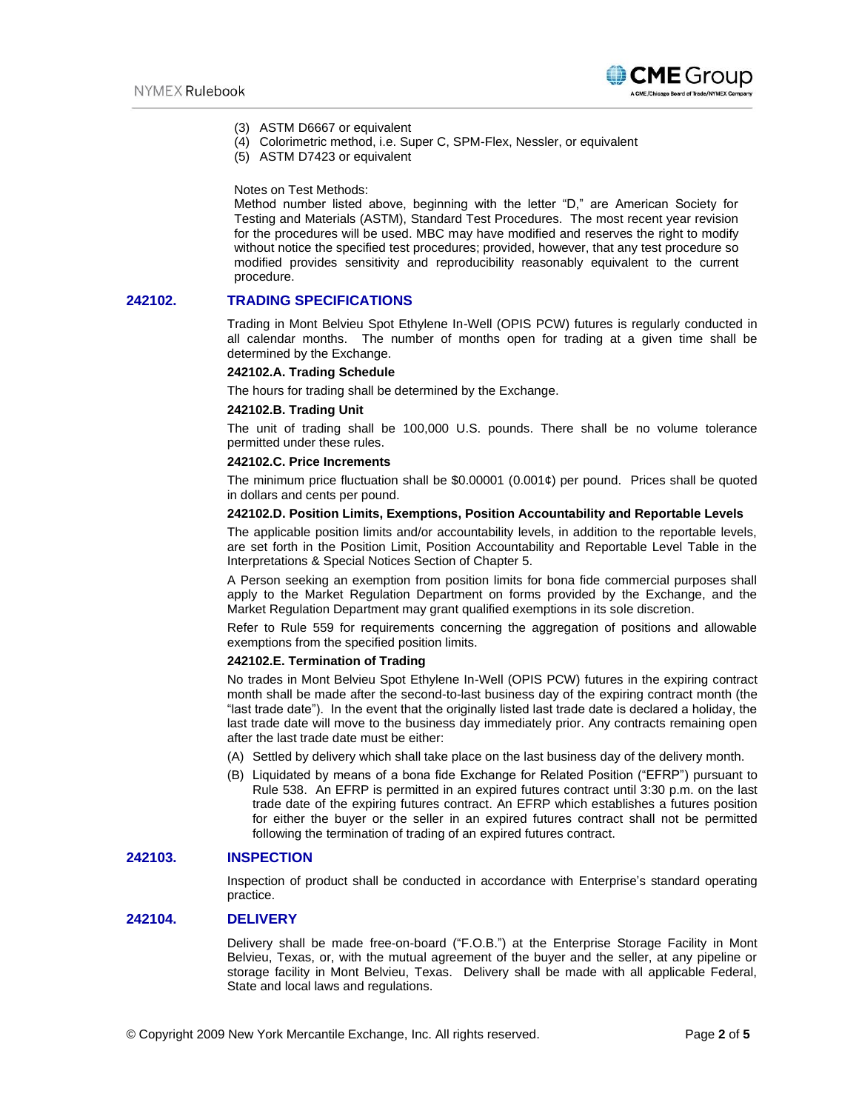

- (3) ASTM D6667 or equivalent
- (4) Colorimetric method, i.e. Super C, SPM-Flex, Nessler, or equivalent
- (5) ASTM D7423 or equivalent

Notes on Test Methods:

Method number listed above, beginning with the letter "D," are American Society for Testing and Materials (ASTM), Standard Test Procedures. The most recent year revision for the procedures will be used. MBC may have modified and reserves the right to modify without notice the specified test procedures; provided, however, that any test procedure so modified provides sensitivity and reproducibility reasonably equivalent to the current procedure.

# **242102. TRADING SPECIFICATIONS**

Trading in Mont Belvieu Spot Ethylene In-Well (OPIS PCW) futures is regularly conducted in all calendar months. The number of months open for trading at a given time shall be determined by the Exchange.

# **242102.A. Trading Schedule**

The hours for trading shall be determined by the Exchange.

#### **242102.B. Trading Unit**

The unit of trading shall be 100,000 U.S. pounds. There shall be no volume tolerance permitted under these rules.

### **242102.C. Price Increments**

The minimum price fluctuation shall be  $$0.00001$  (0.001¢) per pound. Prices shall be quoted in dollars and cents per pound.

#### **242102.D. Position Limits, Exemptions, Position Accountability and Reportable Levels**

The applicable position limits and/or accountability levels, in addition to the reportable levels, are set forth in the Position Limit, Position Accountability and Reportable Level Table in the Interpretations & Special Notices Section of Chapter 5.

A Person seeking an exemption from position limits for bona fide commercial purposes shall apply to the Market Regulation Department on forms provided by the Exchange, and the Market Regulation Department may grant qualified exemptions in its sole discretion.

Refer to Rule 559 for requirements concerning the aggregation of positions and allowable exemptions from the specified position limits.

#### **242102.E. Termination of Trading**

No trades in Mont Belvieu Spot Ethylene In-Well (OPIS PCW) futures in the expiring contract month shall be made after the second-to-last business day of the expiring contract month (the "last trade date"). In the event that the originally listed last trade date is declared a holiday, the last trade date will move to the business day immediately prior. Any contracts remaining open after the last trade date must be either:

- (A) Settled by delivery which shall take place on the last business day of the delivery month.
- (B) Liquidated by means of a bona fide Exchange for Related Position ("EFRP") pursuant to Rule 538. An EFRP is permitted in an expired futures contract until 3:30 p.m. on the last trade date of the expiring futures contract. An EFRP which establishes a futures position for either the buyer or the seller in an expired futures contract shall not be permitted following the termination of trading of an expired futures contract.

### **242103. INSPECTION**

Inspection of product shall be conducted in accordance with Enterprise's standard operating practice.

# **242104. DELIVERY**

Delivery shall be made free-on-board ("F.O.B.") at the Enterprise Storage Facility in Mont Belvieu, Texas, or, with the mutual agreement of the buyer and the seller, at any pipeline or storage facility in Mont Belvieu, Texas. Delivery shall be made with all applicable Federal, State and local laws and regulations.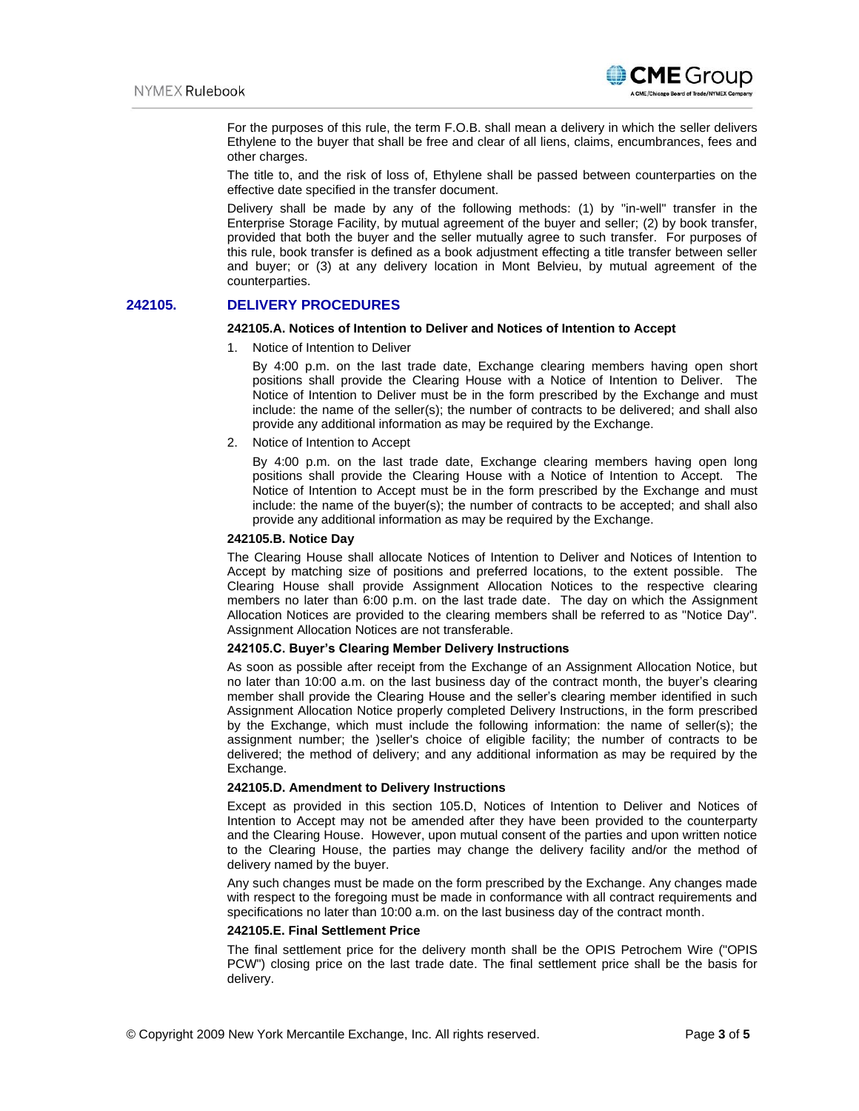

For the purposes of this rule, the term F.O.B. shall mean a delivery in which the seller delivers Ethylene to the buyer that shall be free and clear of all liens, claims, encumbrances, fees and other charges.

The title to, and the risk of loss of, Ethylene shall be passed between counterparties on the effective date specified in the transfer document.

Delivery shall be made by any of the following methods: (1) by "in-well" transfer in the Enterprise Storage Facility, by mutual agreement of the buyer and seller; (2) by book transfer, provided that both the buyer and the seller mutually agree to such transfer. For purposes of this rule, book transfer is defined as a book adjustment effecting a title transfer between seller and buyer; or (3) at any delivery location in Mont Belvieu, by mutual agreement of the counterparties.

# **242105. DELIVERY PROCEDURES**

#### **242105.A. Notices of Intention to Deliver and Notices of Intention to Accept**

1. Notice of Intention to Deliver

By 4:00 p.m. on the last trade date, Exchange clearing members having open short positions shall provide the Clearing House with a Notice of Intention to Deliver. The Notice of Intention to Deliver must be in the form prescribed by the Exchange and must include: the name of the seller(s); the number of contracts to be delivered; and shall also provide any additional information as may be required by the Exchange.

2. Notice of Intention to Accept

By 4:00 p.m. on the last trade date, Exchange clearing members having open long positions shall provide the Clearing House with a Notice of Intention to Accept. The Notice of Intention to Accept must be in the form prescribed by the Exchange and must include: the name of the buyer(s); the number of contracts to be accepted; and shall also provide any additional information as may be required by the Exchange.

#### **242105.B. Notice Day**

The Clearing House shall allocate Notices of Intention to Deliver and Notices of Intention to Accept by matching size of positions and preferred locations, to the extent possible. The Clearing House shall provide Assignment Allocation Notices to the respective clearing members no later than 6:00 p.m. on the last trade date. The day on which the Assignment Allocation Notices are provided to the clearing members shall be referred to as "Notice Day". Assignment Allocation Notices are not transferable.

#### **242105.C. Buyer's Clearing Member Delivery Instructions**

As soon as possible after receipt from the Exchange of an Assignment Allocation Notice, but no later than 10:00 a.m. on the last business day of the contract month, the buyer's clearing member shall provide the Clearing House and the seller's clearing member identified in such Assignment Allocation Notice properly completed Delivery Instructions, in the form prescribed by the Exchange, which must include the following information: the name of seller(s); the assignment number; the )seller's choice of eligible facility; the number of contracts to be delivered; the method of delivery; and any additional information as may be required by the Exchange.

#### **242105.D. Amendment to Delivery Instructions**

Except as provided in this section 105.D, Notices of Intention to Deliver and Notices of Intention to Accept may not be amended after they have been provided to the counterparty and the Clearing House. However, upon mutual consent of the parties and upon written notice to the Clearing House, the parties may change the delivery facility and/or the method of delivery named by the buyer.

Any such changes must be made on the form prescribed by the Exchange. Any changes made with respect to the foregoing must be made in conformance with all contract requirements and specifications no later than 10:00 a.m. on the last business day of the contract month.

#### **242105.E. Final Settlement Price**

The final settlement price for the delivery month shall be the OPIS Petrochem Wire ("OPIS PCW") closing price on the last trade date. The final settlement price shall be the basis for delivery.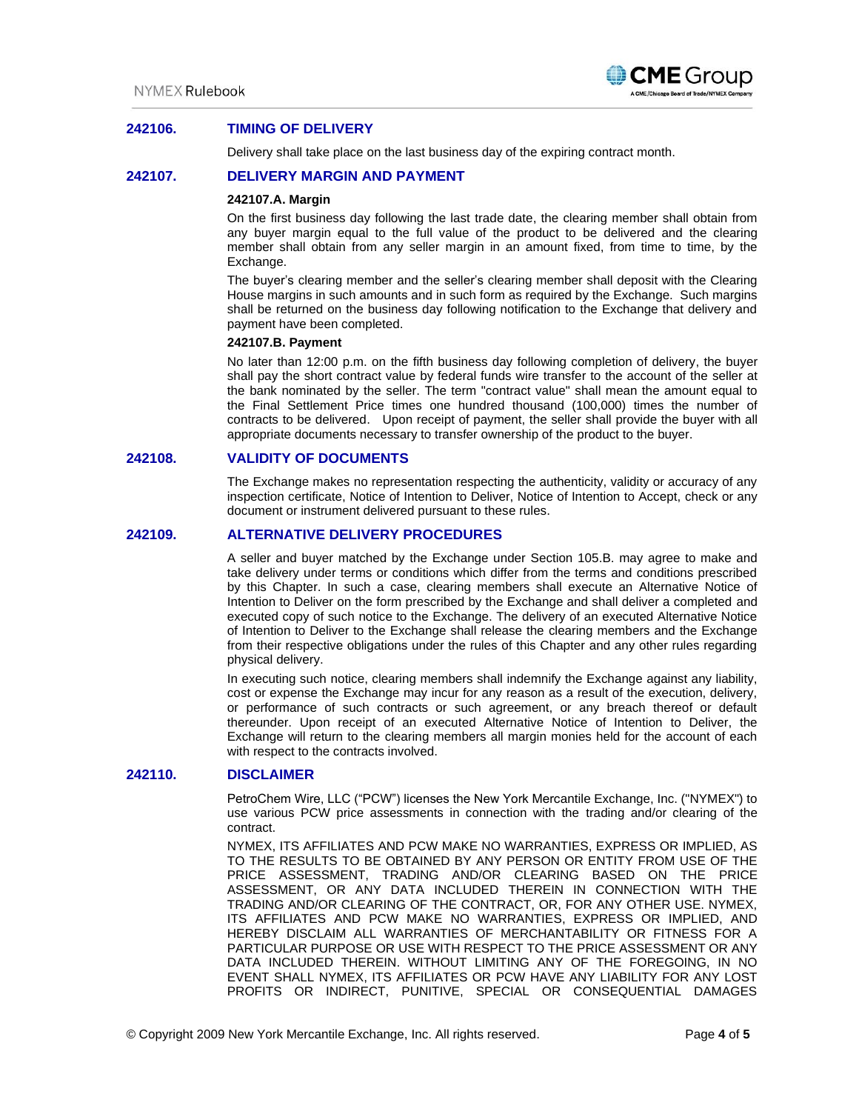

# **242106. TIMING OF DELIVERY**

Delivery shall take place on the last business day of the expiring contract month.

### **242107. DELIVERY MARGIN AND PAYMENT**

#### **242107.A. Margin**

On the first business day following the last trade date, the clearing member shall obtain from any buyer margin equal to the full value of the product to be delivered and the clearing member shall obtain from any seller margin in an amount fixed, from time to time, by the Exchange.

The buyer's clearing member and the seller's clearing member shall deposit with the Clearing House margins in such amounts and in such form as required by the Exchange. Such margins shall be returned on the business day following notification to the Exchange that delivery and payment have been completed.

# **242107.B. Payment**

No later than 12:00 p.m. on the fifth business day following completion of delivery, the buyer shall pay the short contract value by federal funds wire transfer to the account of the seller at the bank nominated by the seller. The term "contract value" shall mean the amount equal to the Final Settlement Price times one hundred thousand (100,000) times the number of contracts to be delivered. Upon receipt of payment, the seller shall provide the buyer with all appropriate documents necessary to transfer ownership of the product to the buyer.

# **242108. VALIDITY OF DOCUMENTS**

The Exchange makes no representation respecting the authenticity, validity or accuracy of any inspection certificate, Notice of Intention to Deliver, Notice of Intention to Accept, check or any document or instrument delivered pursuant to these rules.

# **242109. ALTERNATIVE DELIVERY PROCEDURES**

A seller and buyer matched by the Exchange under Section 105.B. may agree to make and take delivery under terms or conditions which differ from the terms and conditions prescribed by this Chapter. In such a case, clearing members shall execute an Alternative Notice of Intention to Deliver on the form prescribed by the Exchange and shall deliver a completed and executed copy of such notice to the Exchange. The delivery of an executed Alternative Notice of Intention to Deliver to the Exchange shall release the clearing members and the Exchange from their respective obligations under the rules of this Chapter and any other rules regarding physical delivery.

In executing such notice, clearing members shall indemnify the Exchange against any liability, cost or expense the Exchange may incur for any reason as a result of the execution, delivery, or performance of such contracts or such agreement, or any breach thereof or default thereunder. Upon receipt of an executed Alternative Notice of Intention to Deliver, the Exchange will return to the clearing members all margin monies held for the account of each with respect to the contracts involved.

### **242110. DISCLAIMER**

PetroChem Wire, LLC ("PCW") licenses the New York Mercantile Exchange, Inc. ("NYMEX") to use various PCW price assessments in connection with the trading and/or clearing of the contract.

NYMEX, ITS AFFILIATES AND PCW MAKE NO WARRANTIES, EXPRESS OR IMPLIED, AS TO THE RESULTS TO BE OBTAINED BY ANY PERSON OR ENTITY FROM USE OF THE PRICE ASSESSMENT, TRADING AND/OR CLEARING BASED ON THE PRICE ASSESSMENT, OR ANY DATA INCLUDED THEREIN IN CONNECTION WITH THE TRADING AND/OR CLEARING OF THE CONTRACT, OR, FOR ANY OTHER USE. NYMEX, ITS AFFILIATES AND PCW MAKE NO WARRANTIES, EXPRESS OR IMPLIED, AND HEREBY DISCLAIM ALL WARRANTIES OF MERCHANTABILITY OR FITNESS FOR A PARTICULAR PURPOSE OR USE WITH RESPECT TO THE PRICE ASSESSMENT OR ANY DATA INCLUDED THEREIN. WITHOUT LIMITING ANY OF THE FOREGOING, IN NO EVENT SHALL NYMEX, ITS AFFILIATES OR PCW HAVE ANY LIABILITY FOR ANY LOST PROFITS OR INDIRECT, PUNITIVE, SPECIAL OR CONSEQUENTIAL DAMAGES